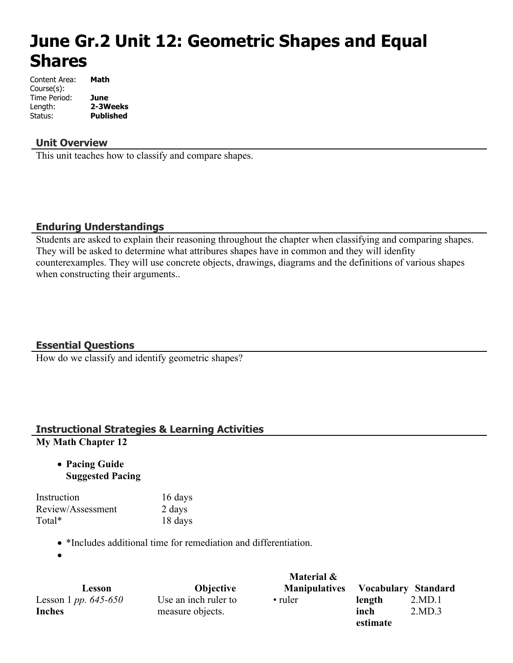# **June Gr.2 Unit 12: Geometric Shapes and Equal Shares**

| Content Area: | Math             |
|---------------|------------------|
| Course(s):    |                  |
| Time Period:  | June             |
| Length:       | 2-3Weeks         |
| Status:       | <b>Published</b> |

#### **Unit Overview**

This unit teaches how to classify and compare shapes.

#### **Enduring Understandings**

Students are asked to explain their reasoning throughout the chapter when classifying and comparing shapes. They will be asked to determine what attribures shapes have in common and they will idenfity counterexamples. They will use concrete objects, drawings, diagrams and the definitions of various shapes when constructing their arguments..

#### **Essential Questions**

How do we classify and identify geometric shapes?

#### **Instructional Strategies & Learning Activities My Math Chapter 12**

 **Pacing Guide Suggested Pacing**

| Instruction       | 16 days |
|-------------------|---------|
| Review/Assessment | 2 days  |
| Total*            | 18 days |

- 18 days
- \*Includes additional time for remediation and differentiation.

 $\bullet$ 

|                               |                      | Material &           |                     |        |
|-------------------------------|----------------------|----------------------|---------------------|--------|
| Lesson                        | <b>Objective</b>     | <b>Manipulatives</b> | Vocabulary Standard |        |
| Lesson 1 <i>pp.</i> $645-650$ | Use an inch ruler to | • ruler              | length              | 2.MD.1 |
| <b>Inches</b>                 | measure objects.     |                      | inch                | 2.MD.3 |
|                               |                      |                      | estimate            |        |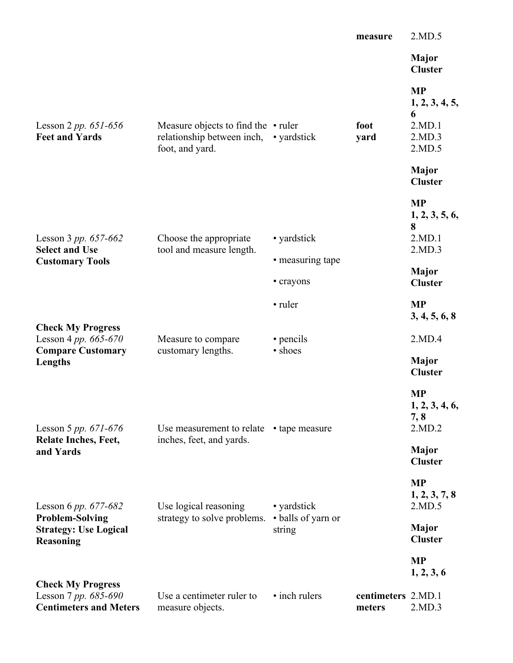|                                                                                   |                                                                                            |                              | measure                      | 2.MD.5                                                         |
|-----------------------------------------------------------------------------------|--------------------------------------------------------------------------------------------|------------------------------|------------------------------|----------------------------------------------------------------|
|                                                                                   |                                                                                            |                              |                              | <b>Major</b><br><b>Cluster</b>                                 |
| Lesson 2 <i>pp.</i> $651 - 656$<br><b>Feet and Yards</b>                          | Measure objects to find the $\cdot$ ruler<br>relationship between inch,<br>foot, and yard. | • yardstick                  | foot<br>yard                 | <b>MP</b><br>1, 2, 3, 4, 5,<br>6<br>2.MD.1<br>2.MD.3<br>2.MD.5 |
|                                                                                   |                                                                                            |                              |                              | <b>Major</b><br><b>Cluster</b>                                 |
| Lesson 3 pp. 657-662<br><b>Select and Use</b>                                     | Choose the appropriate<br>tool and measure length.                                         | • yardstick                  |                              | <b>MP</b><br>1, 2, 3, 5, 6,<br>8<br>2.MD.1<br>2.MD.3           |
| <b>Customary Tools</b>                                                            |                                                                                            | • measuring tape             |                              | Major                                                          |
|                                                                                   |                                                                                            | • crayons                    |                              | <b>Cluster</b>                                                 |
|                                                                                   |                                                                                            | • ruler                      |                              | <b>MP</b><br>3, 4, 5, 6, 8                                     |
| <b>Check My Progress</b><br>Lesson 4 pp. 665-670                                  | Measure to compare                                                                         | • pencils                    |                              | 2.MD.4                                                         |
| <b>Compare Customary</b><br>Lengths                                               | customary lengths.                                                                         | • shoes                      |                              | <b>Major</b><br><b>Cluster</b>                                 |
| Lesson 5 pp. $671-676$                                                            | Use measurement to relate                                                                  | • tape measure               |                              | <b>MP</b><br>1, 2, 3, 4, 6,<br>7, 8<br>2.MD.2                  |
| <b>Relate Inches, Feet,</b><br>and Yards                                          | inches, feet, and yards.                                                                   |                              |                              | <b>Major</b><br><b>Cluster</b>                                 |
| Lesson 6 pp. $677-682$                                                            | Use logical reasoning                                                                      | • yardstick                  |                              | <b>MP</b><br>1, 2, 3, 7, 8<br>2.MD.5                           |
| <b>Problem-Solving</b><br><b>Strategy: Use Logical</b><br><b>Reasoning</b>        | strategy to solve problems.                                                                | • balls of yarn or<br>string |                              | <b>Major</b><br><b>Cluster</b>                                 |
|                                                                                   |                                                                                            |                              |                              | <b>MP</b><br>1, 2, 3, 6                                        |
| <b>Check My Progress</b><br>Lesson 7 pp. 685-690<br><b>Centimeters and Meters</b> | Use a centimeter ruler to<br>measure objects.                                              | • inch rulers                | centimeters 2.MD.1<br>meters | 2.MD.3                                                         |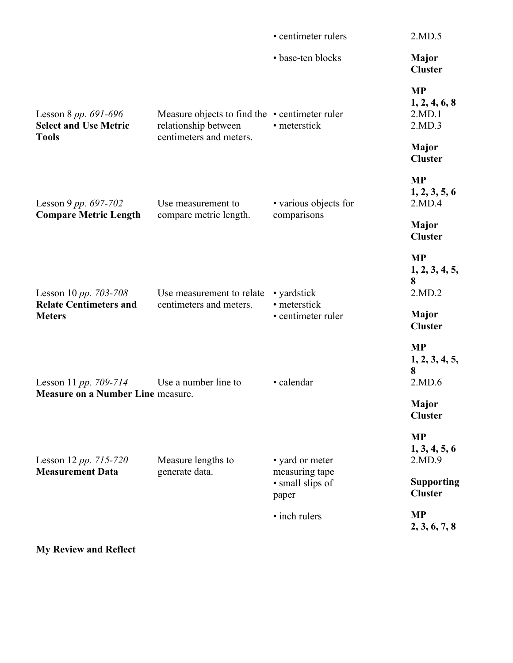|                                                                  | • centimeter rulers                                            | 2.MD.5                                                              |
|------------------------------------------------------------------|----------------------------------------------------------------|---------------------------------------------------------------------|
|                                                                  | • base-ten blocks                                              | <b>Major</b><br><b>Cluster</b>                                      |
| relationship between<br>centimeters and meters.                  | • meterstick                                                   | <b>MP</b><br>1, 2, 4, 6, 8<br>2.MD.1<br>2.MD.3                      |
|                                                                  |                                                                | <b>Major</b><br><b>Cluster</b>                                      |
| Use measurement to<br>compare metric length.                     | • various objects for                                          | <b>MP</b><br>1, 2, 3, 5, 6<br>2.MD.4                                |
|                                                                  |                                                                | <b>Major</b><br><b>Cluster</b>                                      |
| Use measurement to relate<br>centimeters and meters.             | • yardstick<br>· meterstick<br>· centimeter ruler              | <b>MP</b><br>1, 2, 3, 4, 5,<br>8<br>2.MD.2                          |
|                                                                  |                                                                | <b>Major</b><br><b>Cluster</b>                                      |
| Use a number line to<br><b>Measure on a Number Line measure.</b> | · calendar                                                     | <b>MP</b><br>1, 2, 3, 4, 5,<br>8<br>2.MD.6                          |
|                                                                  |                                                                | <b>Major</b><br><b>Cluster</b>                                      |
| Measure lengths to<br>generate data.                             | • yard or meter<br>measuring tape<br>· small slips of<br>paper | <b>MP</b><br>1, 3, 4, 5, 6<br>2.MD.9                                |
|                                                                  |                                                                | <b>Supporting</b><br><b>Cluster</b>                                 |
|                                                                  | · inch rulers                                                  | <b>MP</b><br>2, 3, 6, 7, 8                                          |
|                                                                  |                                                                | Measure objects to find the $\cdot$ centimeter ruler<br>comparisons |

**My Review and Reflect**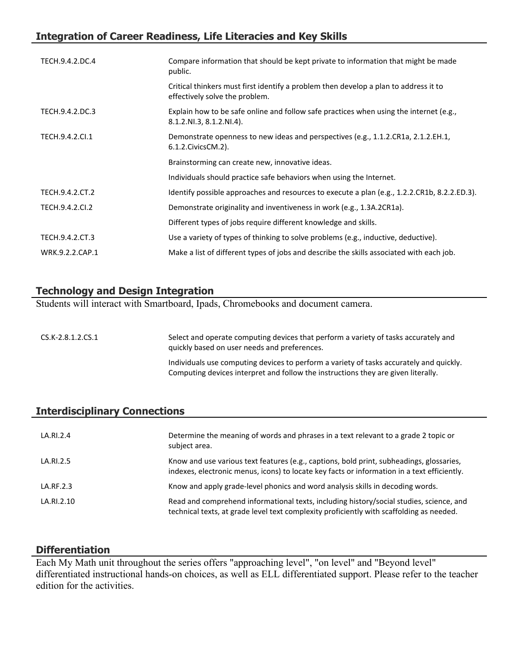## **Integration of Career Readiness, Life Literacies and Key Skills**

| TECH.9.4.2.DC.4 | Compare information that should be kept private to information that might be made<br>public.                           |
|-----------------|------------------------------------------------------------------------------------------------------------------------|
|                 | Critical thinkers must first identify a problem then develop a plan to address it to<br>effectively solve the problem. |
| TECH.9.4.2.DC.3 | Explain how to be safe online and follow safe practices when using the internet (e.g.,<br>8.1.2.NI.3, 8.1.2.NI.4).     |
| TECH.9.4.2.Cl.1 | Demonstrate openness to new ideas and perspectives (e.g., 1.1.2.CR1a, 2.1.2.EH.1,<br>6.1.2. Civics CM. 2).             |
|                 | Brainstorming can create new, innovative ideas.                                                                        |
|                 | Individuals should practice safe behaviors when using the Internet.                                                    |
| TECH.9.4.2.CT.2 | Identify possible approaches and resources to execute a plan (e.g., 1.2.2.CR1b, 8.2.2.ED.3).                           |
| TECH.9.4.2.CI.2 | Demonstrate originality and inventiveness in work (e.g., 1.3A.2CR1a).                                                  |
|                 | Different types of jobs require different knowledge and skills.                                                        |
| TECH.9.4.2.CT.3 | Use a variety of types of thinking to solve problems (e.g., inductive, deductive).                                     |
| WRK.9.2.2.CAP.1 | Make a list of different types of jobs and describe the skills associated with each job.                               |

## **Technology and Design Integration**

Students will interact with Smartboard, Ipads, Chromebooks and document camera.

| $CS.K-2.8.1.2.CS.1$ | Select and operate computing devices that perform a variety of tasks accurately and<br>quickly based on user needs and preferences.                                          |
|---------------------|------------------------------------------------------------------------------------------------------------------------------------------------------------------------------|
|                     | Individuals use computing devices to perform a variety of tasks accurately and quickly.<br>Computing devices interpret and follow the instructions they are given literally. |

## **Interdisciplinary Connections**

| LA.RI.2.4  | Determine the meaning of words and phrases in a text relevant to a grade 2 topic or<br>subject area.                                                                                    |
|------------|-----------------------------------------------------------------------------------------------------------------------------------------------------------------------------------------|
| LA.RI.2.5  | Know and use various text features (e.g., captions, bold print, subheadings, glossaries,<br>indexes, electronic menus, icons) to locate key facts or information in a text efficiently. |
| LA.RF.2.3  | Know and apply grade-level phonics and word analysis skills in decoding words.                                                                                                          |
| LA.RI.2.10 | Read and comprehend informational texts, including history/social studies, science, and<br>technical texts, at grade level text complexity proficiently with scaffolding as needed.     |

#### **Differentiation**

Each My Math unit throughout the series offers "approaching level", "on level" and "Beyond level" differentiated instructional hands-on choices, as well as ELL differentiated support. Please refer to the teacher edition for the activities.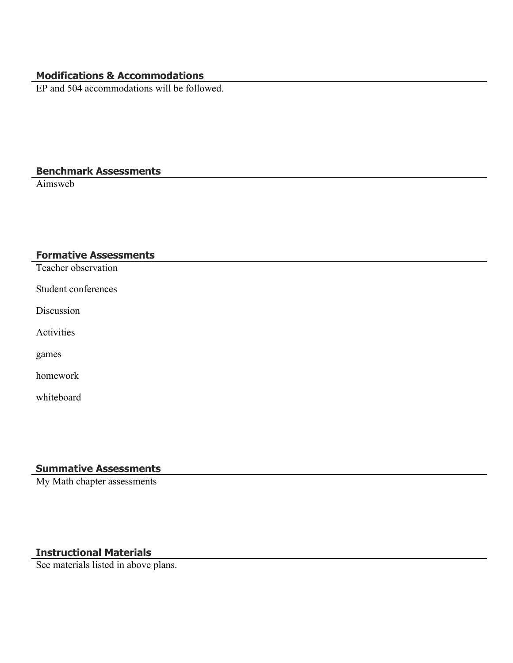## **Modifications & Accommodations**

EP and 504 accommodations will be followed.

#### **Benchmark Assessments**

Aimsweb

#### **Formative Assessments**

Teacher observation

Student conferences

Discussion

Activities

games

homework

whiteboard

#### **Summative Assessments**

My Math chapter assessments

### **Instructional Materials**

See materials listed in above plans.